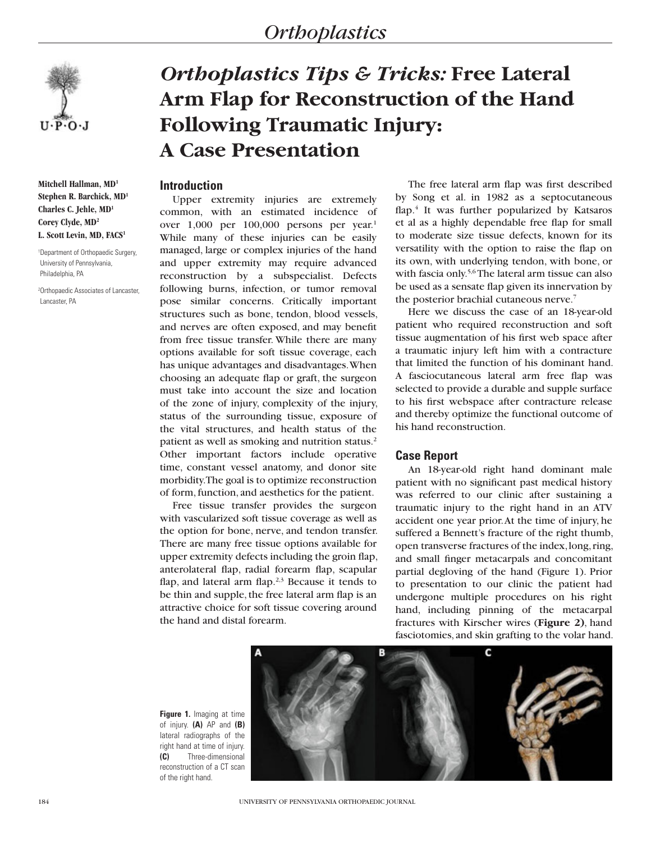# *Orthoplastics*



**Mitchell Hallman, MD1 Stephen R. Barchick, MD1 Charles C. Jehle, MD1 Corey Clyde, MD2 L. Scott Levin, MD, FACS1**

1 Department of Orthopaedic Surgery, University of Pennsylvania, Philadelphia, PA

2 Orthopaedic Associates of Lancaster, Lancaster, PA

# *Orthoplastics Tips & Tricks:* **Free Lateral Arm Flap for Reconstruction of the Hand Following Traumatic Injury: A Case Presentation**

### **Introduction**

Upper extremity injuries are extremely common, with an estimated incidence of over 1,000 per 100,000 persons per year.1 While many of these injuries can be easily managed, large or complex injuries of the hand and upper extremity may require advanced reconstruction by a subspecialist. Defects following burns, infection, or tumor removal pose similar concerns. Critically important structures such as bone, tendon, blood vessels, and nerves are often exposed, and may benefit from free tissue transfer. While there are many options available for soft tissue coverage, each has unique advantages and disadvantages. When choosing an adequate flap or graft, the surgeon must take into account the size and location of the zone of injury, complexity of the injury, status of the surrounding tissue, exposure of the vital structures, and health status of the patient as well as smoking and nutrition status.<sup>2</sup> Other important factors include operative time, constant vessel anatomy, and donor site morbidity. The goal is to optimize reconstruction of form, function, and aesthetics for the patient.

Free tissue transfer provides the surgeon with vascularized soft tissue coverage as well as the option for bone, nerve, and tendon transfer. There are many free tissue options available for upper extremity defects including the groin flap, anterolateral flap, radial forearm flap, scapular flap, and lateral arm flap. $2,3$  Because it tends to be thin and supple, the free lateral arm flap is an attractive choice for soft tissue covering around the hand and distal forearm.

The free lateral arm flap was first described by Song et al. in 1982 as a septocutaneous flap.4 It was further popularized by Katsaros et al as a highly dependable free flap for small to moderate size tissue defects, known for its versatility with the option to raise the flap on its own, with underlying tendon, with bone, or with fascia only.<sup>5,6</sup> The lateral arm tissue can also be used as a sensate flap given its innervation by the posterior brachial cutaneous nerve.7

Here we discuss the case of an 18-year-old patient who required reconstruction and soft tissue augmentation of his first web space after a traumatic injury left him with a contracture that limited the function of his dominant hand. A fasciocutaneous lateral arm free flap was selected to provide a durable and supple surface to his first webspace after contracture release and thereby optimize the functional outcome of his hand reconstruction.

# **Case Report**

An 18-year-old right hand dominant male patient with no significant past medical history was referred to our clinic after sustaining a traumatic injury to the right hand in an ATV accident one year prior. At the time of injury, he suffered a Bennett's fracture of the right thumb, open transverse fractures of the index, long, ring, and small finger metacarpals and concomitant partial degloving of the hand (Figure 1). Prior to presentation to our clinic the patient had undergone multiple procedures on his right hand, including pinning of the metacarpal fractures with Kirscher wires (**Figure 2)**, hand fasciotomies, and skin grafting to the volar hand.

**Figure 1.** Imaging at time of injury. **(A)** AP and **(B)** lateral radiographs of the right hand at time of injury. **(C)** Three-dimensional reconstruction of a CT scan of the right hand.

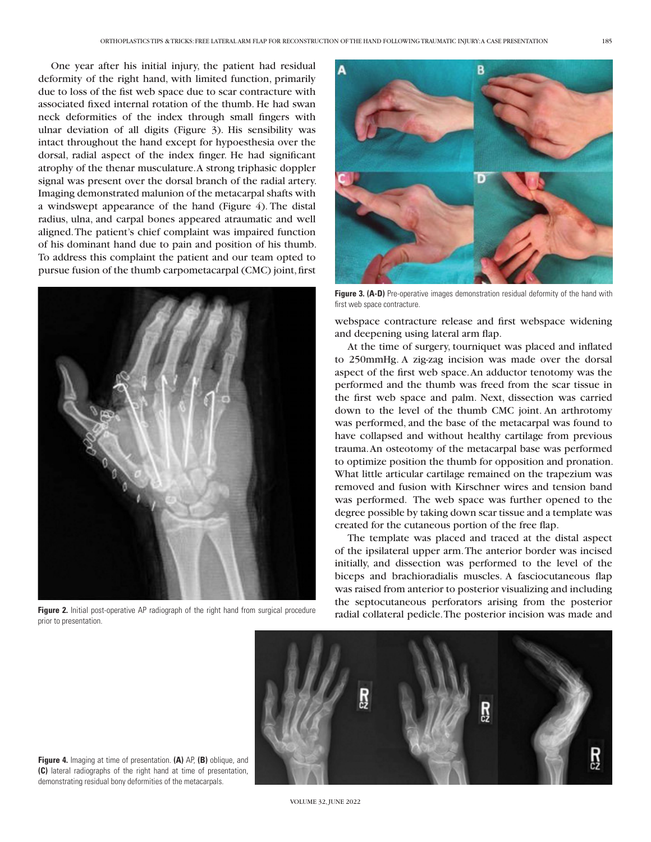One year after his initial injury, the patient had residual deformity of the right hand, with limited function, primarily due to loss of the fist web space due to scar contracture with associated fixed internal rotation of the thumb. He had swan neck deformities of the index through small fingers with ulnar deviation of all digits (Figure 3). His sensibility was intact throughout the hand except for hypoesthesia over the dorsal, radial aspect of the index finger. He had significant atrophy of the thenar musculature. A strong triphasic doppler signal was present over the dorsal branch of the radial artery. Imaging demonstrated malunion of the metacarpal shafts with a windswept appearance of the hand (Figure 4). The distal radius, ulna, and carpal bones appeared atraumatic and well aligned. The patient's chief complaint was impaired function of his dominant hand due to pain and position of his thumb. To address this complaint the patient and our team opted to pursue fusion of the thumb carpometacarpal (CMC) joint, first



**Figure 2.** Initial post-operative AP radiograph of the right hand from surgical procedure prior to presentation.



**Figure 3. (A-D)** Pre-operative images demonstration residual deformity of the hand with first web space contracture.

webspace contracture release and first webspace widening and deepening using lateral arm flap.

At the time of surgery, tourniquet was placed and inflated to 250mmHg. A zig-zag incision was made over the dorsal aspect of the first web space. An adductor tenotomy was the performed and the thumb was freed from the scar tissue in the first web space and palm. Next, dissection was carried down to the level of the thumb CMC joint. An arthrotomy was performed, and the base of the metacarpal was found to have collapsed and without healthy cartilage from previous trauma. An osteotomy of the metacarpal base was performed to optimize position the thumb for opposition and pronation. What little articular cartilage remained on the trapezium was removed and fusion with Kirschner wires and tension band was performed. The web space was further opened to the degree possible by taking down scar tissue and a template was created for the cutaneous portion of the free flap.

The template was placed and traced at the distal aspect of the ipsilateral upper arm. The anterior border was incised initially, and dissection was performed to the level of the biceps and brachioradialis muscles. A fasciocutaneous flap was raised from anterior to posterior visualizing and including the septocutaneous perforators arising from the posterior radial collateral pedicle. The posterior incision was made and



**Figure 4.** Imaging at time of presentation. **(A)** AP, **(B)** oblique, and **(C)** lateral radiographs of the right hand at time of presentation, demonstrating residual bony deformities of the metacarpals.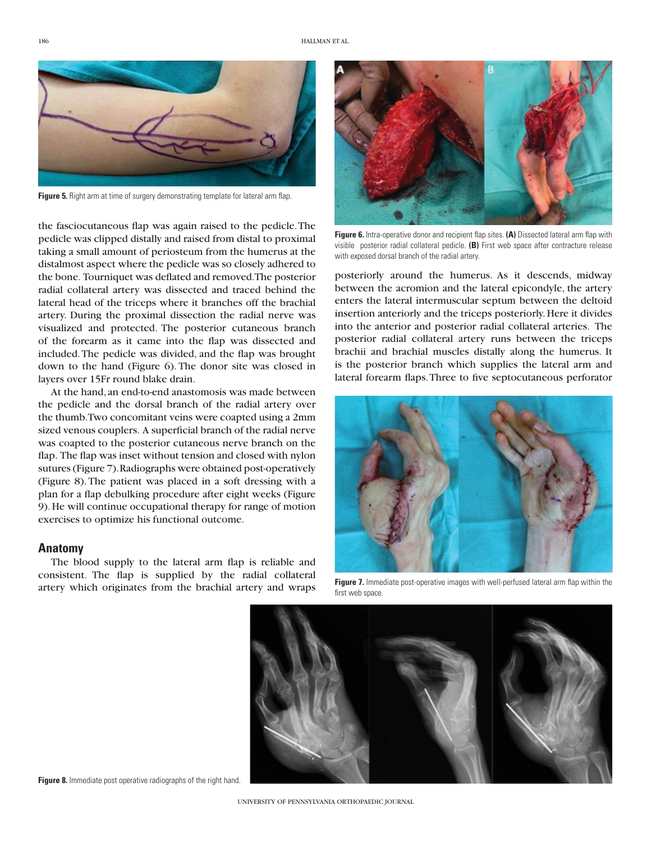

**Figure 5.** Right arm at time of surgery demonstrating template for lateral arm flap.

the fasciocutaneous flap was again raised to the pedicle. The pedicle was clipped distally and raised from distal to proximal taking a small amount of periosteum from the humerus at the distalmost aspect where the pedicle was so closely adhered to the bone. Tourniquet was deflated and removed. The posterior radial collateral artery was dissected and traced behind the lateral head of the triceps where it branches off the brachial artery. During the proximal dissection the radial nerve was visualized and protected. The posterior cutaneous branch of the forearm as it came into the flap was dissected and included. The pedicle was divided, and the flap was brought down to the hand (Figure 6). The donor site was closed in layers over 15Fr round blake drain.

At the hand, an end-to-end anastomosis was made between the pedicle and the dorsal branch of the radial artery over the thumb. Two concomitant veins were coapted using a 2mm sized venous couplers. A superficial branch of the radial nerve was coapted to the posterior cutaneous nerve branch on the flap. The flap was inset without tension and closed with nylon sutures (Figure 7). Radiographs were obtained post-operatively (Figure 8). The patient was placed in a soft dressing with a plan for a flap debulking procedure after eight weeks (Figure 9). He will continue occupational therapy for range of motion exercises to optimize his functional outcome.

#### **Anatomy**

The blood supply to the lateral arm flap is reliable and consistent. The flap is supplied by the radial collateral artery which originates from the brachial artery and wraps



**Figure 6.** Intra-operative donor and recipient flap sites. **(A)** Dissected lateral arm flap with visible posterior radial collateral pedicle. **(B)** First web space after contracture release with exposed dorsal branch of the radial artery.

posteriorly around the humerus. As it descends, midway between the acromion and the lateral epicondyle, the artery enters the lateral intermuscular septum between the deltoid insertion anteriorly and the triceps posteriorly. Here it divides into the anterior and posterior radial collateral arteries. The posterior radial collateral artery runs between the triceps brachii and brachial muscles distally along the humerus. It is the posterior branch which supplies the lateral arm and lateral forearm flaps. Three to five septocutaneous perforator



**Figure 7.** Immediate post-operative images with well-perfused lateral arm flap within the first web space.



**Figure 8.** Immediate post operative radiographs of the right hand.